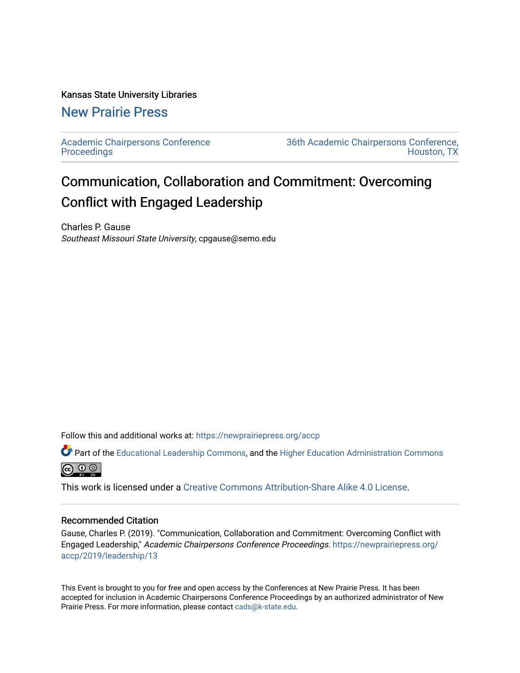### Kansas State University Libraries

## [New Prairie Press](https://newprairiepress.org/)

[Academic Chairpersons Conference](https://newprairiepress.org/accp)  **Proceedings** 

[36th Academic Chairpersons Conference,](https://newprairiepress.org/accp/2019)  [Houston, TX](https://newprairiepress.org/accp/2019) 

# Communication, Collaboration and Commitment: Overcoming Conflict with Engaged Leadership

Charles P. Gause Southeast Missouri State University, cpgause@semo.edu

Follow this and additional works at: [https://newprairiepress.org/accp](https://newprairiepress.org/accp?utm_source=newprairiepress.org%2Faccp%2F2019%2Fleadership%2F13&utm_medium=PDF&utm_campaign=PDFCoverPages) 

Part of the [Educational Leadership Commons,](http://network.bepress.com/hgg/discipline/1230?utm_source=newprairiepress.org%2Faccp%2F2019%2Fleadership%2F13&utm_medium=PDF&utm_campaign=PDFCoverPages) and the [Higher Education Administration Commons](http://network.bepress.com/hgg/discipline/791?utm_source=newprairiepress.org%2Faccp%2F2019%2Fleadership%2F13&utm_medium=PDF&utm_campaign=PDFCoverPages) **@** ⊙ ⊚

This work is licensed under a [Creative Commons Attribution-Share Alike 4.0 License.](https://creativecommons.org/licenses/by-sa/4.0/)

#### Recommended Citation

Gause, Charles P. (2019). "Communication, Collaboration and Commitment: Overcoming Conflict with Engaged Leadership," Academic Chairpersons Conference Proceedings. [https://newprairiepress.org/](https://newprairiepress.org/accp/2019/leadership/13) [accp/2019/leadership/13](https://newprairiepress.org/accp/2019/leadership/13) 

This Event is brought to you for free and open access by the Conferences at New Prairie Press. It has been accepted for inclusion in Academic Chairpersons Conference Proceedings by an authorized administrator of New Prairie Press. For more information, please contact [cads@k-state.edu.](mailto:cads@k-state.edu)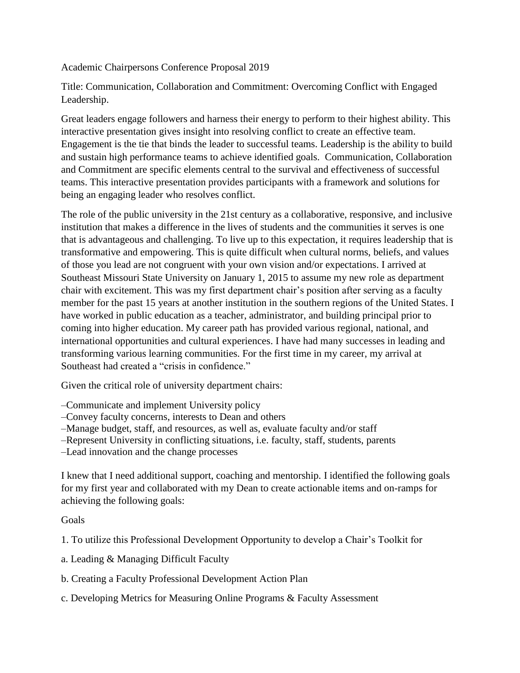Academic Chairpersons Conference Proposal 2019

Title: Communication, Collaboration and Commitment: Overcoming Conflict with Engaged Leadership.

Great leaders engage followers and harness their energy to perform to their highest ability. This interactive presentation gives insight into resolving conflict to create an effective team. Engagement is the tie that binds the leader to successful teams. Leadership is the ability to build and sustain high performance teams to achieve identified goals. Communication, Collaboration and Commitment are specific elements central to the survival and effectiveness of successful teams. This interactive presentation provides participants with a framework and solutions for being an engaging leader who resolves conflict.

The role of the public university in the 21st century as a collaborative, responsive, and inclusive institution that makes a difference in the lives of students and the communities it serves is one that is advantageous and challenging. To live up to this expectation, it requires leadership that is transformative and empowering. This is quite difficult when cultural norms, beliefs, and values of those you lead are not congruent with your own vision and/or expectations. I arrived at Southeast Missouri State University on January 1, 2015 to assume my new role as department chair with excitement. This was my first department chair's position after serving as a faculty member for the past 15 years at another institution in the southern regions of the United States. I have worked in public education as a teacher, administrator, and building principal prior to coming into higher education. My career path has provided various regional, national, and international opportunities and cultural experiences. I have had many successes in leading and transforming various learning communities. For the first time in my career, my arrival at Southeast had created a "crisis in confidence."

Given the critical role of university department chairs:

–Communicate and implement University policy

–Convey faculty concerns, interests to Dean and others

–Manage budget, staff, and resources, as well as, evaluate faculty and/or staff

–Represent University in conflicting situations, i.e. faculty, staff, students, parents

–Lead innovation and the change processes

I knew that I need additional support, coaching and mentorship. I identified the following goals for my first year and collaborated with my Dean to create actionable items and on-ramps for achieving the following goals:

Goals

1. To utilize this Professional Development Opportunity to develop a Chair's Toolkit for

- a. Leading & Managing Difficult Faculty
- b. Creating a Faculty Professional Development Action Plan
- c. Developing Metrics for Measuring Online Programs & Faculty Assessment